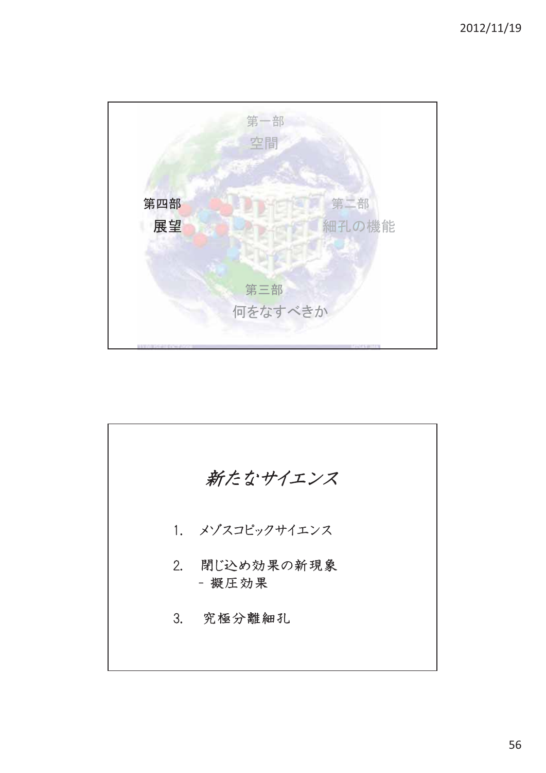

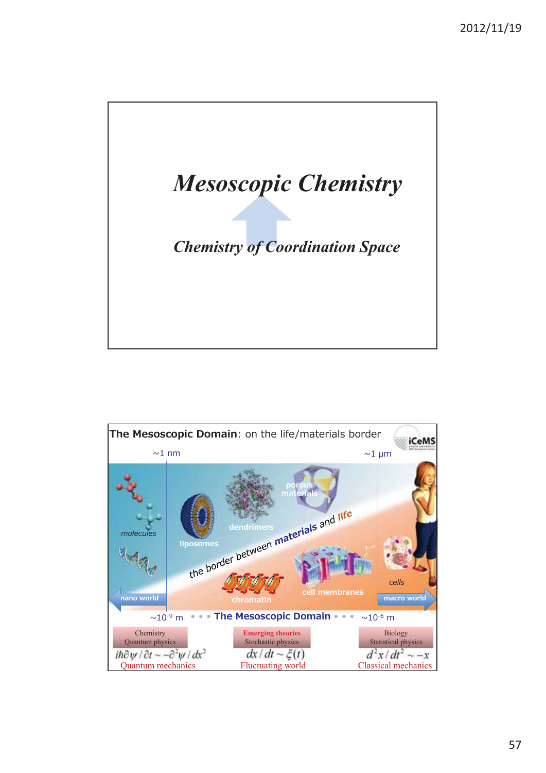

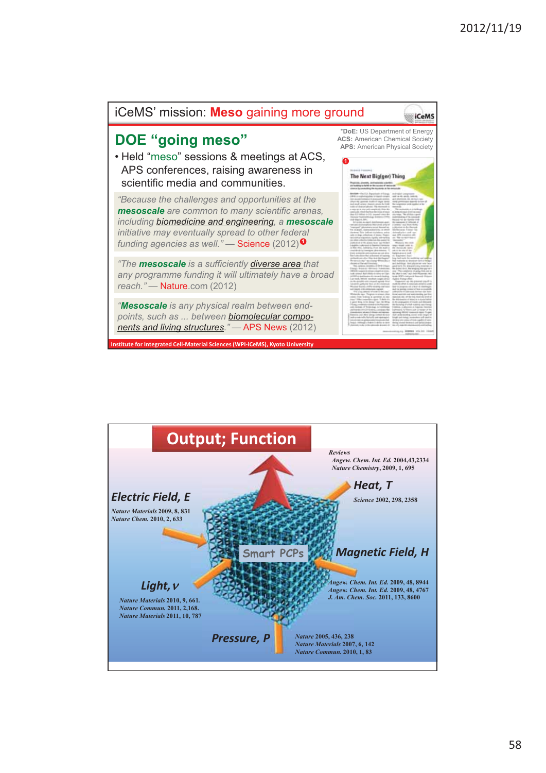

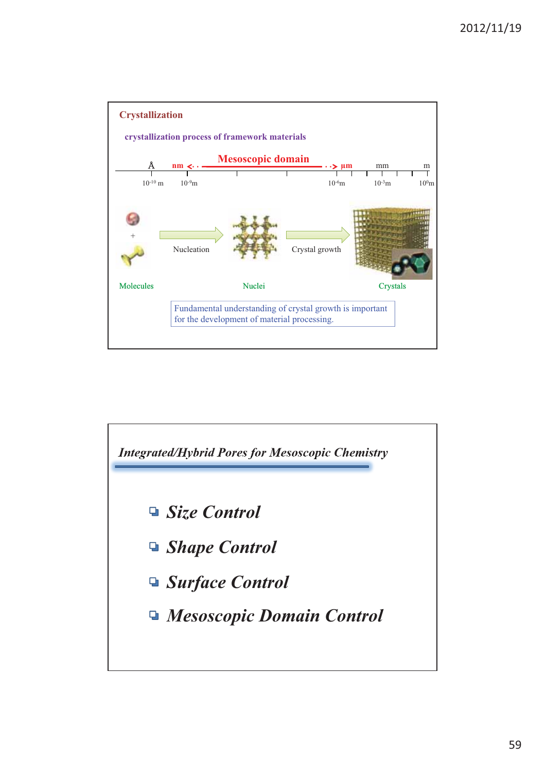